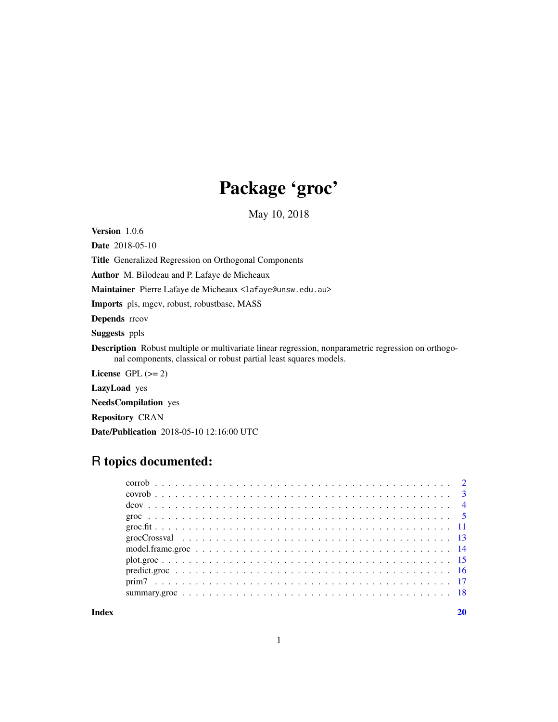# Package 'groc'

May 10, 2018

<span id="page-0-0"></span>Version 1.0.6

Date 2018-05-10

Title Generalized Regression on Orthogonal Components

Author M. Bilodeau and P. Lafaye de Micheaux

Maintainer Pierre Lafaye de Micheaux <lafaye@unsw.edu.au>

Imports pls, mgcv, robust, robustbase, MASS

Depends rrcov

Suggests ppls

Description Robust multiple or multivariate linear regression, nonparametric regression on orthogonal components, classical or robust partial least squares models.

License GPL  $(>= 2)$ 

LazyLoad yes

NeedsCompilation yes

Repository CRAN

Date/Publication 2018-05-10 12:16:00 UTC

# R topics documented:

 $\bf 1$ ndex  $\bf 20$  $\bf 20$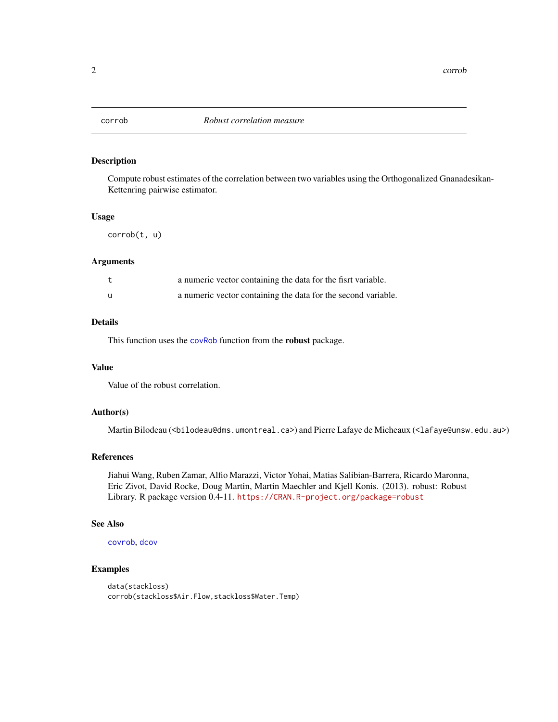<span id="page-1-1"></span><span id="page-1-0"></span>

Compute robust estimates of the correlation between two variables using the Orthogonalized Gnanadesikan-Kettenring pairwise estimator.

#### Usage

corrob(t, u)

# Arguments

|   | a numeric vector containing the data for the fisrt variable.  |
|---|---------------------------------------------------------------|
| u | a numeric vector containing the data for the second variable. |

#### Details

This function uses the [covRob](#page-0-0) function from the robust package.

# Value

Value of the robust correlation.

# Author(s)

Martin Bilodeau (<bilodeau@dms.umontreal.ca>) and Pierre Lafaye de Micheaux (<lafaye@unsw.edu.au>)

# References

Jiahui Wang, Ruben Zamar, Alfio Marazzi, Victor Yohai, Matias Salibian-Barrera, Ricardo Maronna, Eric Zivot, David Rocke, Doug Martin, Martin Maechler and Kjell Konis. (2013). robust: Robust Library. R package version 0.4-11. <https://CRAN.R-project.org/package=robust>

# See Also

[covrob](#page-2-1), [dcov](#page-3-1)

```
data(stackloss)
corrob(stackloss$Air.Flow,stackloss$Water.Temp)
```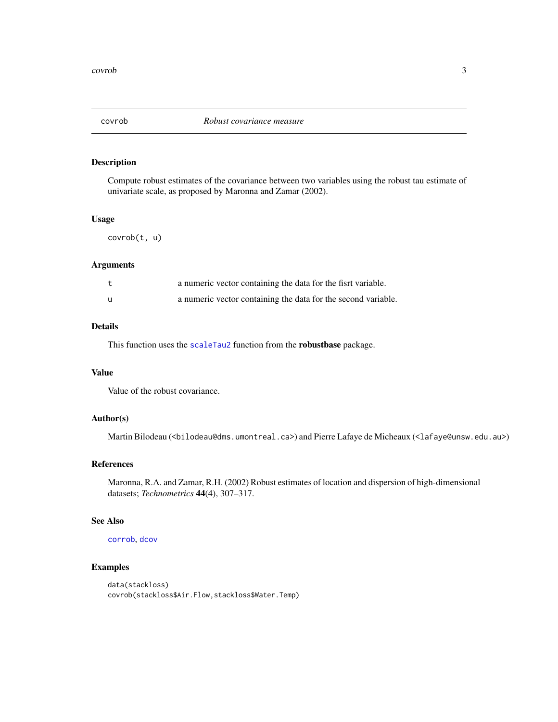<span id="page-2-1"></span><span id="page-2-0"></span>

Compute robust estimates of the covariance between two variables using the robust tau estimate of univariate scale, as proposed by Maronna and Zamar (2002).

#### Usage

```
covrob(t, u)
```
# Arguments

|              | a numeric vector containing the data for the fisrt variable.  |
|--------------|---------------------------------------------------------------|
| $\mathbf{u}$ | a numeric vector containing the data for the second variable. |

# Details

This function uses the [scaleTau2](#page-0-0) function from the robustbase package.

# Value

Value of the robust covariance.

#### Author(s)

Martin Bilodeau (<bilodeau@dms.umontreal.ca>) and Pierre Lafaye de Micheaux (<lafaye@unsw.edu.au>)

#### References

Maronna, R.A. and Zamar, R.H. (2002) Robust estimates of location and dispersion of high-dimensional datasets; *Technometrics* 44(4), 307–317.

### See Also

#### [corrob](#page-1-1), [dcov](#page-3-1)

```
data(stackloss)
covrob(stackloss$Air.Flow,stackloss$Water.Temp)
```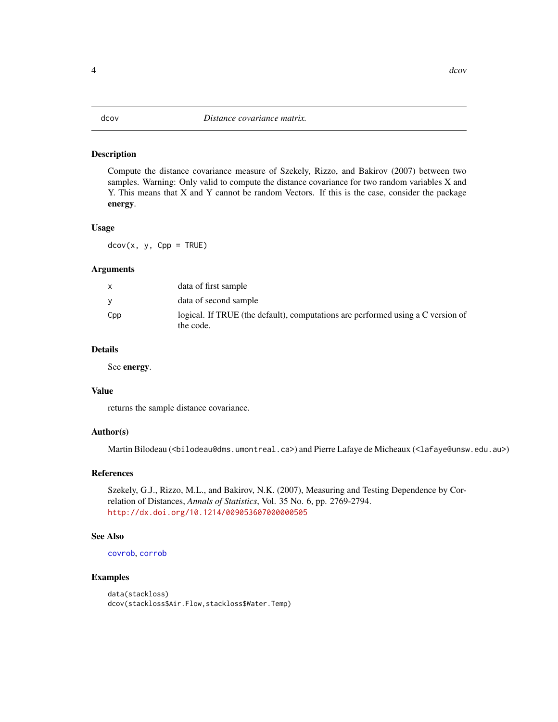<span id="page-3-1"></span><span id="page-3-0"></span>Compute the distance covariance measure of Szekely, Rizzo, and Bakirov (2007) between two samples. Warning: Only valid to compute the distance covariance for two random variables X and Y. This means that X and Y cannot be random Vectors. If this is the case, consider the package energy.

#### Usage

 $dcov(x, y, Cpp = TRUE)$ 

#### Arguments

|     | data of first sample                                                                         |
|-----|----------------------------------------------------------------------------------------------|
|     | data of second sample                                                                        |
| Cpp | logical. If TRUE (the default), computations are performed using a C version of<br>the code. |

# Details

See energy.

# Value

returns the sample distance covariance.

# Author(s)

Martin Bilodeau (<bilodeau@dms.umontreal.ca>) and Pierre Lafaye de Micheaux (<lafaye@unsw.edu.au>)

#### References

Szekely, G.J., Rizzo, M.L., and Bakirov, N.K. (2007), Measuring and Testing Dependence by Correlation of Distances, *Annals of Statistics*, Vol. 35 No. 6, pp. 2769-2794. <http://dx.doi.org/10.1214/009053607000000505>

# See Also

[covrob](#page-2-1), [corrob](#page-1-1)

```
data(stackloss)
dcov(stackloss$Air.Flow,stackloss$Water.Temp)
```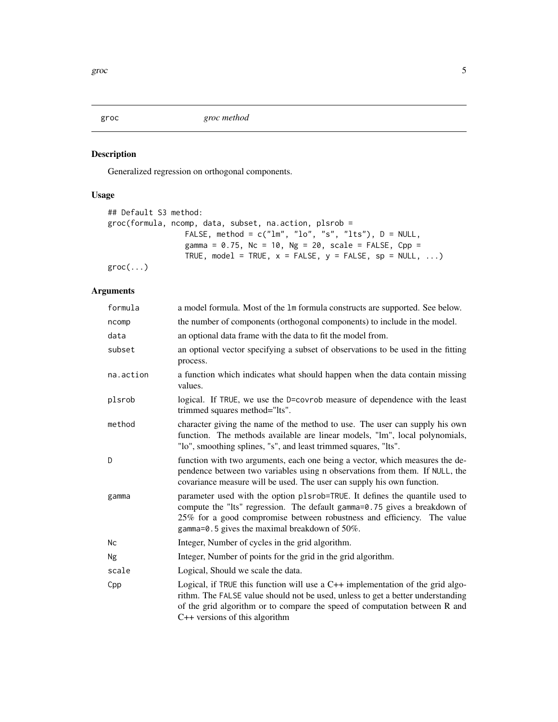<span id="page-4-1"></span><span id="page-4-0"></span>

Generalized regression on orthogonal components.

# Usage

```
## Default S3 method:
groc(formula, ncomp, data, subset, na.action, plsrob =
                FALSE, method = c("lm", "lo", "s", "lts"), D = NULL,gamma = 0.75, Nc = 10, Ng = 20, scale = FALSE, Cpp =
                TRUE, model = TRUE, x = FALSE, y = FALSE, sp = NULL, ...)
groc(...)
```
# Arguments

| formula   | a model formula. Most of the 1m formula constructs are supported. See below.                                                                                                                                                                                                          |
|-----------|---------------------------------------------------------------------------------------------------------------------------------------------------------------------------------------------------------------------------------------------------------------------------------------|
| ncomp     | the number of components (orthogonal components) to include in the model.                                                                                                                                                                                                             |
| data      | an optional data frame with the data to fit the model from.                                                                                                                                                                                                                           |
| subset    | an optional vector specifying a subset of observations to be used in the fitting<br>process.                                                                                                                                                                                          |
| na.action | a function which indicates what should happen when the data contain missing<br>values.                                                                                                                                                                                                |
| plsrob    | logical. If TRUE, we use the D=covrob measure of dependence with the least<br>trimmed squares method="lts".                                                                                                                                                                           |
| method    | character giving the name of the method to use. The user can supply his own<br>function. The methods available are linear models, "lm", local polynomials,<br>"lo", smoothing splines, "s", and least trimmed squares, "lts".                                                         |
| D         | function with two arguments, each one being a vector, which measures the de-<br>pendence between two variables using n observations from them. If NULL, the<br>covariance measure will be used. The user can supply his own function.                                                 |
| gamma     | parameter used with the option plsrob=TRUE. It defines the quantile used to<br>compute the "Its" regression. The default gamma=0.75 gives a breakdown of<br>25% for a good compromise between robustness and efficiency. The value<br>gamma=0.5 gives the maximal breakdown of 50%.   |
| Nc        | Integer, Number of cycles in the grid algorithm.                                                                                                                                                                                                                                      |
| Ng        | Integer, Number of points for the grid in the grid algorithm.                                                                                                                                                                                                                         |
| scale     | Logical, Should we scale the data.                                                                                                                                                                                                                                                    |
| Cpp       | Logical, if TRUE this function will use a $C++$ implementation of the grid algo-<br>rithm. The FALSE value should not be used, unless to get a better understanding<br>of the grid algorithm or to compare the speed of computation between R and<br>$C++$ versions of this algorithm |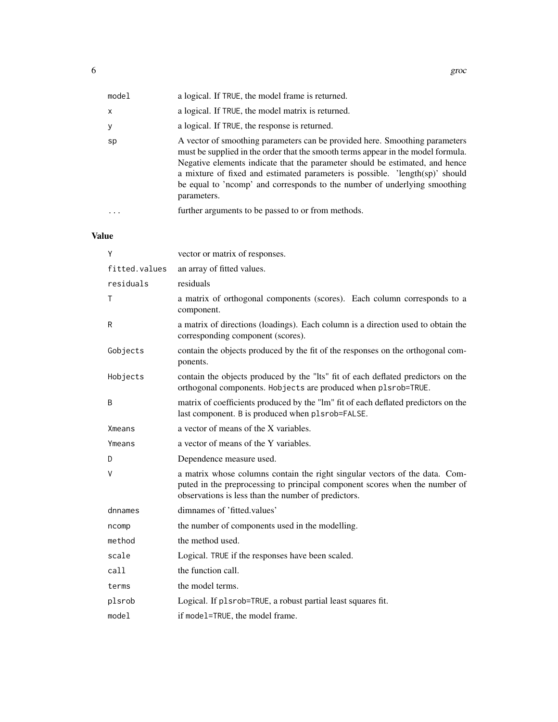| model    | a logical. If TRUE, the model frame is returned.                                                                                                                                                                                                                                                                                                                                                                            |
|----------|-----------------------------------------------------------------------------------------------------------------------------------------------------------------------------------------------------------------------------------------------------------------------------------------------------------------------------------------------------------------------------------------------------------------------------|
| x        | a logical. If TRUE, the model matrix is returned.                                                                                                                                                                                                                                                                                                                                                                           |
| у        | a logical. If TRUE, the response is returned.                                                                                                                                                                                                                                                                                                                                                                               |
| sp       | A vector of smoothing parameters can be provided here. Smoothing parameters<br>must be supplied in the order that the smooth terms appear in the model formula.<br>Negative elements indicate that the parameter should be estimated, and hence<br>a mixture of fixed and estimated parameters is possible. 'length(sp)' should<br>be equal to 'ncomp' and corresponds to the number of underlying smoothing<br>parameters. |
| $\cdots$ | further arguments to be passed to or from methods.                                                                                                                                                                                                                                                                                                                                                                          |

# Value

| Y             | vector or matrix of responses.                                                                                                                                                                                    |
|---------------|-------------------------------------------------------------------------------------------------------------------------------------------------------------------------------------------------------------------|
| fitted.values | an array of fitted values.                                                                                                                                                                                        |
| residuals     | residuals                                                                                                                                                                                                         |
| Τ             | a matrix of orthogonal components (scores). Each column corresponds to a<br>component.                                                                                                                            |
| R             | a matrix of directions (loadings). Each column is a direction used to obtain the<br>corresponding component (scores).                                                                                             |
| Gobjects      | contain the objects produced by the fit of the responses on the orthogonal com-<br>ponents.                                                                                                                       |
| Hobjects      | contain the objects produced by the "lts" fit of each deflated predictors on the<br>orthogonal components. Hobjects are produced when plsrob=TRUE.                                                                |
| B             | matrix of coefficients produced by the "lm" fit of each deflated predictors on the<br>last component. B is produced when plsrob=FALSE.                                                                            |
| Xmeans        | a vector of means of the X variables.                                                                                                                                                                             |
| Ymeans        | a vector of means of the Y variables.                                                                                                                                                                             |
| D             | Dependence measure used.                                                                                                                                                                                          |
| V             | a matrix whose columns contain the right singular vectors of the data. Com-<br>puted in the preprocessing to principal component scores when the number of<br>observations is less than the number of predictors. |
| dnnames       | dimnames of 'fitted.values'                                                                                                                                                                                       |
| ncomp         | the number of components used in the modelling.                                                                                                                                                                   |
| method        | the method used.                                                                                                                                                                                                  |
| scale         | Logical. TRUE if the responses have been scaled.                                                                                                                                                                  |
| call          | the function call.                                                                                                                                                                                                |
| terms         | the model terms.                                                                                                                                                                                                  |
| plsrob        | Logical. If plsrob=TRUE, a robust partial least squares fit.                                                                                                                                                      |
| mode1         | if model=TRUE, the model frame.                                                                                                                                                                                   |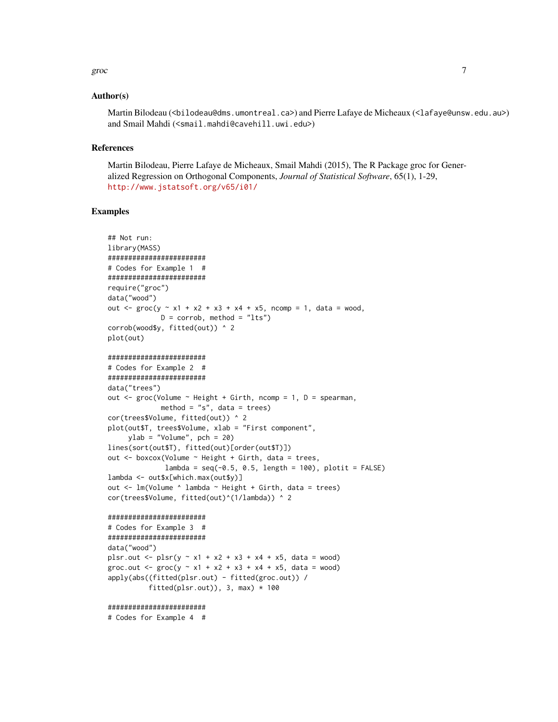#### groc to the contract of the contract of the contract of the contract of the contract of the contract of the contract of the contract of the contract of the contract of the contract of the contract of the contract of the co

#### Author(s)

Martin Bilodeau (<bilodeau@dms.umontreal.ca>) and Pierre Lafaye de Micheaux (<lafaye@unsw.edu.au>) and Smail Mahdi (<smail.mahdi@cavehill.uwi.edu>)

#### References

Martin Bilodeau, Pierre Lafaye de Micheaux, Smail Mahdi (2015), The R Package groc for Generalized Regression on Orthogonal Components, *Journal of Statistical Software*, 65(1), 1-29, <http://www.jstatsoft.org/v65/i01/>

#### Examples

```
## Not run:
library(MASS)
########################
# Codes for Example 1 #
########################
require("groc")
data("wood")
out <- groc(y ~ x1 + x2 + x3 + x4 + x5, ncomp = 1, data = wood,
             D = corrob, method = "lts")
corrob(wood$y, fitted(out)) ^ 2
plot(out)
########################
# Codes for Example 2 #
########################
data("trees")
out \leq groc(Volume \sim Height + Girth, ncomp = 1, D = spearman,
             method = "s", data = trees)
cor(trees$Volume, fitted(out)) ^ 2
plot(out$T, trees$Volume, xlab = "First component",
     ylab = "Volume", pch = 20)lines(sort(out$T), fitted(out)[order(out$T)])
out <- boxcox(Volume ~ Height + Girth, data = trees,
              lambda = seq(-0.5, 0.5, length = 100), plotit = FALSE)lambda <- out$x[which.max(out$y)]
out <- lm(Volume ^ lambda ~ Height + Girth, data = trees)
cor(trees$Volume, fitted(out)^(1/lambda)) ^ 2
########################
# Codes for Example 3 #
########################
data("wood")
plsr.out <- plsr(y \sim x1 + x2 + x3 + x4 + x5, data = wood)
groc.out <- \text{grec}(y \sim x1 + x2 + x3 + x4 + x5, \text{ data} = \text{wood})
```

```
apply(abs((fitted(plsr.out) - fitted(groc.out)) /
         fitted(plsr.out)), 3, max) * 100
```
#### ########################

# Codes for Example 4 #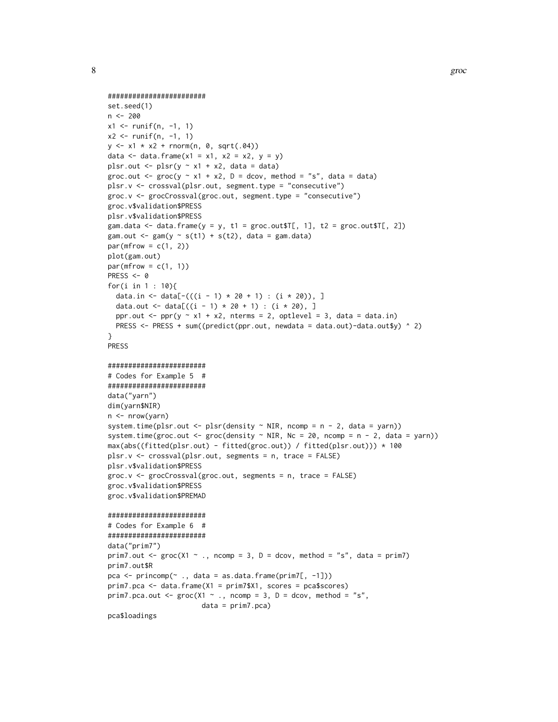```
########################
set.seed(1)
n <- 200
x1 <- runif(n, -1, 1)
x2 \le runif(n, -1, 1)
y \le -x1 \times x2 + \text{norm}(n, 0, \text{sqrt}(.04))data \le data.frame(x1 = x1, x2 = x2, y = y)
plsr.out \leq plsr(y \sim x1 + x2, data = data)
groc.out <- \text{groc}(y \sim x1 + x2, D = \text{dcov}, \text{method} = "s", \text{data} = \text{data})plsr.v <- crossval(plsr.out, segment.type = "consecutive")
groc.v <- grocCrossval(groc.out, segment.type = "consecutive")
groc.v$validation$PRESS
plsr.v$validation$PRESS
gam.data \leq data.frame(y = y, t1 = groc.out$T[, 1], t2 = groc.out$T[, 2])
gam.out \leq gam(y \leq s(t1) + s(t2), data = gam.data)
par(mfrow = c(1, 2))plot(gam.out)
par(mfrow = c(1, 1))PRESS <- 0
for(i in 1 : 10){
  data.in <- data[-(((i - 1) * 20 + 1) : (i * 20)), ]
  data.out <- data[((i - 1) * 20 + 1) : (i * 20), ]ppr.out <- ppr(y \sim x1 + x2, nterms = 2, optlevel = 3, data = data.in)
  PRESS <- PRESS + sum((predict(ppr.out, newdata = data.out)-data.out$y) ^ 2)
}
PRESS
########################
# Codes for Example 5 #
########################
data("yarn")
dim(yarn$NIR)
n <- nrow(yarn)
system.time(plsr.out \leq plsr(density \sim NIR, ncomp = n - 2, data = yarn))
system.time(groc.out <- groc(density \sim NIR, Nc = 20, ncomp = n - 2, data = yarn))
max(abs((fitted(plsr.out) - fitted(groc.out)) / fitted(plsr.out))) * 100
plsr.v <- crossval(plsr.out, segments = n, trace = FALSE)
plsr.v$validation$PRESS
groc.v <- grocCrossval(groc.out, segments = n, trace = FALSE)
groc.v$validation$PRESS
groc.v$validation$PREMAD
########################
# Codes for Example 6 #
########################
data("prim7")
prim7.out <- \text{groc}(X1 \sim ., \text{ncomp} = 3, D = \text{dcov}, \text{method} = "s", \text{data} = \text{prim7})prim7.out$R
pca <- princomp(~ ., data = as.data.frame(prim7[, -1]))
prim7.pca <- data.frame(X1 = prim7$X1, scores = pca$scores)
prim7.pca.out <- \text{groc}(X1 \sim ., \text{ncomp} = 3, D = \text{dcov}, \text{method} = "s",data = prim7.pca)
pca$loadings
```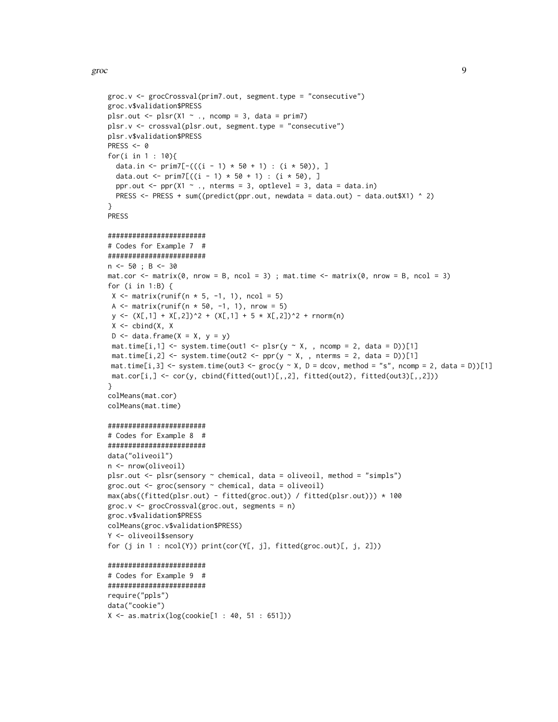```
groc.v <- grocCrossval(prim7.out, segment.type = "consecutive")
groc.v$validation$PRESS
plsr.out \leq plsr(X1 \sim ., ncomp = 3, data = prim7)
plsr.v <- crossval(plsr.out, segment.type = "consecutive")
plsr.v$validation$PRESS
PRESS <- 0
for(i in 1 : 10){
  data.in <- prim7[-(((i - 1) * 50 + 1) : (i * 50)), ]data.out <- prim7[((i - 1) * 50 + 1) : (i * 50),]
  ppr.out \leq ppr(X1 \sim ., nterms = 3, optlevel = 3, data = data.in)
  PRESS <- PRESS + sum((predict(ppr.out, newdata = data.out) - data.out$X1) ^ 2)
}
PRESS
########################
# Codes for Example 7 #
########################
n <- 50 ; B <- 30
mat.cor \le matrix(0, nrow = B, ncol = 3); mat.time \le matrix(0, nrow = B, ncol = 3)
for (i in 1:B) {
X \le matrix(runif(n * 5, -1, 1), ncol = 5)
 A \le matrix(runif(n * 50, -1, 1), nrow = 5)
 y \leftarrow (X[,1] + X[,2])^2 + (X[,1] + 5 * X[,2])^2 + \text{rnorm}(n)X \leftarrow \text{cbind}(X, X)D \le data.frame(X = X, y = y)
 mat.time[i,1] <- system.time(out1 <- plsr(y \sim X, , ncomp = 2, data = D))[1]
 mat.time[i,2] <- system.time(out2 <- ppr(y \sim X, , nterms = 2, data = D))[1]
mat.time[i,3] \le system.time(out3 \le groc(y \le X, D = dcov, method = "s", ncomp = 2, data = D))[1]
mat.cor[i,] <- cor(y, cbind(fitted(out1)[,,2], fitted(out2), fitted(out3)[,,2]))
}
colMeans(mat.cor)
colMeans(mat.time)
########################
# Codes for Example 8 #
########################
data("oliveoil")
n <- nrow(oliveoil)
plsr.out <- plsr(sensory ~ chemical, data = oliveoil, method = "simpls")
groc.out <- groc(sensory ~ chemical, data = oliveoil)
max(abs((fitted(plsr.out) - fitted(groc.out)) / fitted(plsr.out))) * 100
groc.v <- grocCrossval(groc.out, segments = n)
groc.v$validation$PRESS
colMeans(groc.v$validation$PRESS)
Y <- oliveoil$sensory
for (j in 1: \text{ncol}(Y)) print(cor(Y[, j], fitted(groc.out)[, j, 2]))
########################
# Codes for Example 9 #
########################
require("ppls")
data("cookie")
X <- as.matrix(log(cookie[1 : 40, 51 : 651]))
```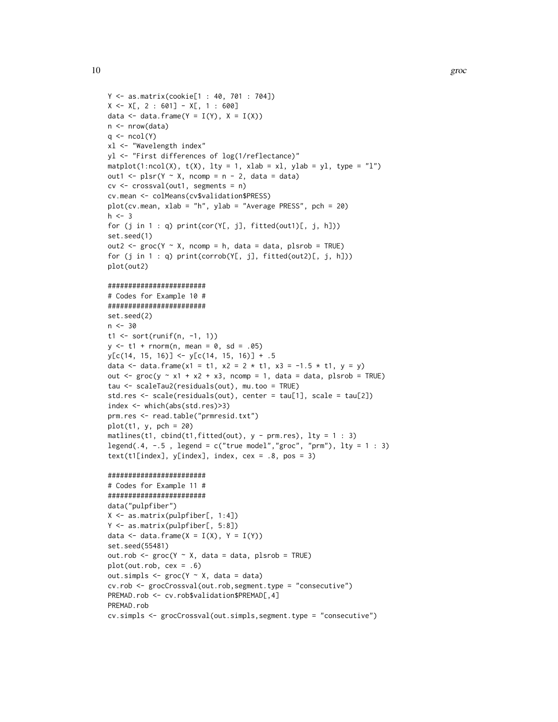```
Y <- as.matrix(cookie[1 : 40, 701 : 704])
X \leq X[\, 2 : 601] - X[\, 1 : 600]data <- data.frame(Y = I(Y), X = I(X))
n <- nrow(data)
q \leftarrow \text{ncol}(Y)xl <- "Wavelength index"
yl <- "First differences of log(1/reflectance)"
matplot(1:ncol(X), t(X), lty = 1, xlab = xl, ylab = yl, type = "l")
out1 <- plsr(Y \sim X, ncomp = n - 2, data = data)cv <- crossval(out1, segments = n)
cv.mean <- colMeans(cv$validation$PRESS)
plot(cv.mean, xlab = "h", ylab = "Average PRESS", pch = 20)
h < -3for (j in 1 : q) print(cor(Y[, j], fitted(out1)[, j, h]))
set.seed(1)
out2 <- \text{groc}(Y \sim X, \text{ncomp} = h, \text{data} = \text{data}, \text{plsrob} = \text{TRUE})for (j in 1 : q) print(corrob(Y[, j], fitted(out2)[, j, h]))
plot(out2)
########################
# Codes for Example 10 #
########################
set.seed(2)
n < -30t1 <- sort(runif(n, -1, 1))
y \le -t1 + \text{norm}(n, \text{mean} = 0, \text{sd} = .05)y[c(14, 15, 16)] \leftarrow y[c(14, 15, 16)] + .5data <- data.frame(x1 = t1, x2 = 2 * t1, x3 = -1.5 * t1, y = y)
out \le groc(y \sim x1 + x2 + x3, ncomp = 1, data = data, plsrob = TRUE)
tau <- scaleTau2(residuals(out), mu.too = TRUE)
std.res <- scale(residuals(out), center = tau[1], scale = tau[2])
index <- which(abs(std.res)>3)
prm.res <- read.table("prmresid.txt")
plot(t1, y, pch = 20)matlines(t1, cbind(t1, fitted(out), y - pm,res), lty = 1 : 3)
legend(.4, -0.5, legend = c("true model","groc", "prm"), lty = 1 : 3)
text(t1[index], y[index], index, cex = .8, pos = 3)
########################
# Codes for Example 11 #
########################
data("pulpfiber")
X <- as.matrix(pulpfiber[, 1:4])
Y <- as.matrix(pulpfiber[, 5:8])
data \leq data.frame(X = I(X), Y = I(Y))
set.seed(55481)
out.rob <- \text{groc}(Y \sim X, \text{ data = data}, \text{ plsrob = TRUE})plot(out.rob, cex = .6)
out.simpls \leq groc(Y \sim X, data = data)
cv.rob <- grocCrossval(out.rob,segment.type = "consecutive")
PREMAD.rob <- cv.rob$validation$PREMAD[,4]
PREMAD.rob
```

```
cv.simpls <- grocCrossval(out.simpls,segment.type = "consecutive")
```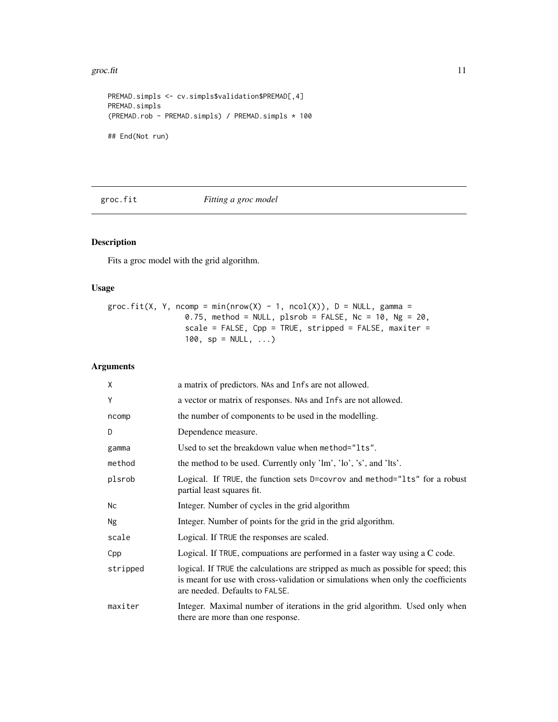#### <span id="page-10-0"></span>groc.fit  $\frac{11}{11}$

```
PREMAD.simpls <- cv.simpls$validation$PREMAD[,4]
PREMAD.simpls
(PREMAD.rob - PREMAD.simpls) / PREMAD.simpls * 100
## End(Not run)
```
# groc.fit *Fitting a groc model*

# Description

Fits a groc model with the grid algorithm.

#### Usage

groc.fit(X, Y, ncomp = min(nrow(X) - 1, ncol(X)),  $D = NULL$ , gamma =  $0.75$ , method = NULL, plsrob = FALSE, Nc = 10, Ng = 20, scale = FALSE, Cpp = TRUE, stripped = FALSE, maxiter = 100,  $sp = NULL, ...$ 

# Arguments

| X        | a matrix of predictors. NAs and Infs are not allowed.                                                                                                                                                    |
|----------|----------------------------------------------------------------------------------------------------------------------------------------------------------------------------------------------------------|
| Y        | a vector or matrix of responses. NAs and Infs are not allowed.                                                                                                                                           |
| ncomp    | the number of components to be used in the modelling.                                                                                                                                                    |
| D        | Dependence measure.                                                                                                                                                                                      |
| gamma    | Used to set the breakdown value when method="1ts".                                                                                                                                                       |
| method   | the method to be used. Currently only 'lm', 'lo', 's', and 'lts'.                                                                                                                                        |
| plsrob   | Logical. If TRUE, the function sets D=covrov and method="1ts" for a robust<br>partial least squares fit.                                                                                                 |
| Nc       | Integer. Number of cycles in the grid algorithm                                                                                                                                                          |
| Ng       | Integer. Number of points for the grid in the grid algorithm.                                                                                                                                            |
| scale    | Logical. If TRUE the responses are scaled.                                                                                                                                                               |
| Cpp      | Logical. If TRUE, compuations are performed in a faster way using a C code.                                                                                                                              |
| stripped | logical. If TRUE the calculations are stripped as much as possible for speed; this<br>is meant for use with cross-validation or simulations when only the coefficients<br>are needed. Defaults to FALSE. |
| maxiter  | Integer. Maximal number of iterations in the grid algorithm. Used only when<br>there are more than one response.                                                                                         |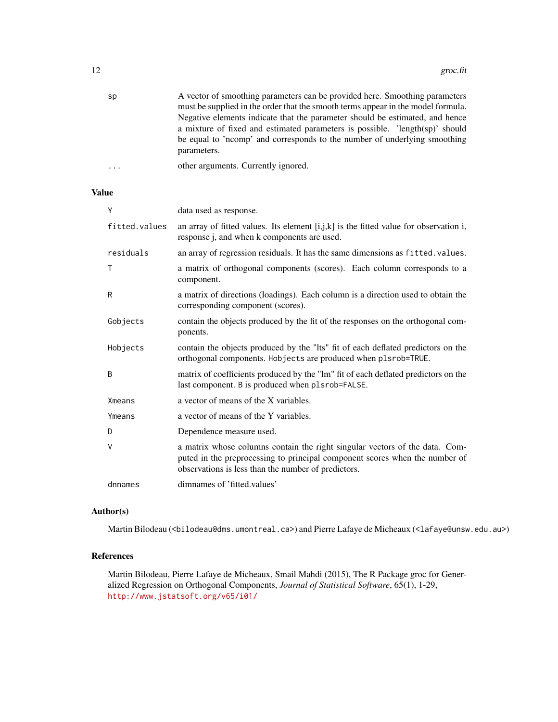| sp | A vector of smoothing parameters can be provided here. Smoothing parameters      |
|----|----------------------------------------------------------------------------------|
|    | must be supplied in the order that the smooth terms appear in the model formula. |
|    | Negative elements indicate that the parameter should be estimated, and hence     |
|    | a mixture of fixed and estimated parameters is possible. 'length $(sp)$ ' should |
|    | be equal to 'ncomp' and corresponds to the number of underlying smoothing        |
|    | parameters.                                                                      |
|    |                                                                                  |

| . | other arguments. Currently ignored. |
|---|-------------------------------------|
|   |                                     |

#### Value

| Y             | data used as response.                                                                                                                                                                                            |
|---------------|-------------------------------------------------------------------------------------------------------------------------------------------------------------------------------------------------------------------|
| fitted.values | an array of fitted values. Its element $[i, j, k]$ is the fitted value for observation i,<br>response j, and when k components are used.                                                                          |
| residuals     | an array of regression residuals. It has the same dimensions as fitted. values.                                                                                                                                   |
| Τ             | a matrix of orthogonal components (scores). Each column corresponds to a<br>component.                                                                                                                            |
| R             | a matrix of directions (loadings). Each column is a direction used to obtain the<br>corresponding component (scores).                                                                                             |
| Gobjects      | contain the objects produced by the fit of the responses on the orthogonal com-<br>ponents.                                                                                                                       |
| Hobjects      | contain the objects produced by the "Its" fit of each deflated predictors on the<br>orthogonal components. Hobjects are produced when plsrob=TRUE.                                                                |
| B             | matrix of coefficients produced by the "lm" fit of each deflated predictors on the<br>last component. B is produced when plsrob=FALSE.                                                                            |
| <b>Xmeans</b> | a vector of means of the X variables.                                                                                                                                                                             |
| Ymeans        | a vector of means of the Y variables.                                                                                                                                                                             |
| D             | Dependence measure used.                                                                                                                                                                                          |
| V             | a matrix whose columns contain the right singular vectors of the data. Com-<br>puted in the preprocessing to principal component scores when the number of<br>observations is less than the number of predictors. |
| dnnames       | dimnames of 'fitted.values'                                                                                                                                                                                       |

# Author(s)

Martin Bilodeau (<bilodeau@dms.umontreal.ca>) and Pierre Lafaye de Micheaux (<lafaye@unsw.edu.au>)

# References

Martin Bilodeau, Pierre Lafaye de Micheaux, Smail Mahdi (2015), The R Package groc for Generalized Regression on Orthogonal Components, *Journal of Statistical Software*, 65(1), 1-29, <http://www.jstatsoft.org/v65/i01/>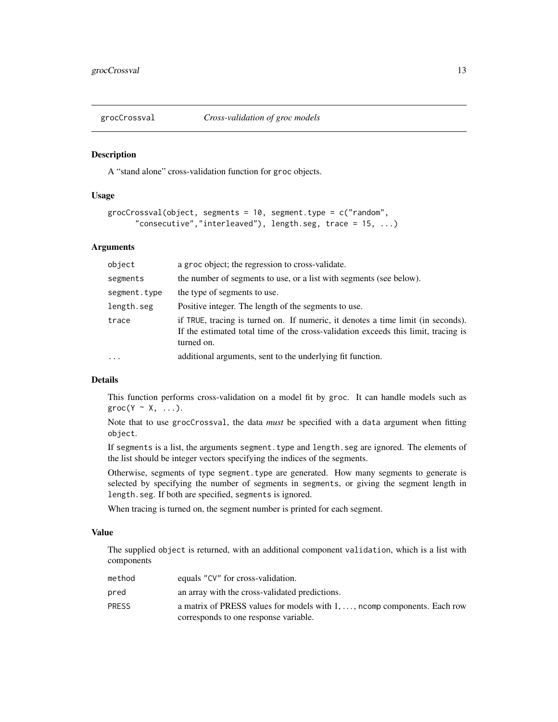<span id="page-12-1"></span><span id="page-12-0"></span>

A "stand alone" cross-validation function for groc objects.

# Usage

```
grocCrossval(object, segments = 10, segment.type = c("random",
      "consecutive","interleaved"), length.seg, trace = 15, ...)
```
#### Arguments

| object       | a groc object; the regression to cross-validate.                                                                                                                                     |
|--------------|--------------------------------------------------------------------------------------------------------------------------------------------------------------------------------------|
| segments     | the number of segments to use, or a list with segments (see below).                                                                                                                  |
| segment.type | the type of segments to use.                                                                                                                                                         |
| length.seg   | Positive integer. The length of the segments to use.                                                                                                                                 |
| trace        | if TRUE, tracing is turned on. If numeric, it denotes a time limit (in seconds).<br>If the estimated total time of the cross-validation exceeds this limit, tracing is<br>turned on. |
| $\ddotsc$    | additional arguments, sent to the underlying fit function.                                                                                                                           |

#### Details

This function performs cross-validation on a model fit by groc. It can handle models such as  $\text{groc}(Y \sim X, \ldots).$ 

Note that to use grocCrossval, the data *must* be specified with a data argument when fitting object.

If segments is a list, the arguments segment.type and length.seg are ignored. The elements of the list should be integer vectors specifying the indices of the segments.

Otherwise, segments of type segment.type are generated. How many segments to generate is selected by specifying the number of segments in segments, or giving the segment length in length.seg. If both are specified, segments is ignored.

When tracing is turned on, the segment number is printed for each segment.

#### Value

The supplied object is returned, with an additional component validation, which is a list with components

| method | equals "CV" for cross-validation.                                                  |
|--------|------------------------------------------------------------------------------------|
| pred   | an array with the cross-validated predictions.                                     |
| PRESS  | a matrix of PRESS values for models with $1, \ldots$ , normal components. Each row |
|        | corresponds to one response variable.                                              |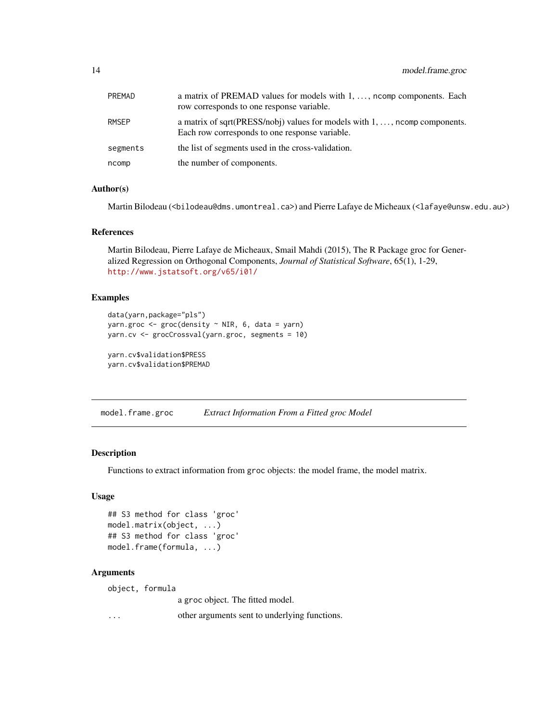<span id="page-13-0"></span>

| PREMAD   | a matrix of PREMAD values for models with 1, , noomp components. Each<br>row corresponds to one response variable.                    |
|----------|---------------------------------------------------------------------------------------------------------------------------------------|
| RMSEP    | a matrix of sqrt(PRESS/nobj) values for models with $1, \ldots$ , north components.<br>Each row corresponds to one response variable. |
| segments | the list of segments used in the cross-validation.                                                                                    |
| ncomp    | the number of components.                                                                                                             |

# Author(s)

Martin Bilodeau (<bilodeau@dms.umontreal.ca>) and Pierre Lafaye de Micheaux (<lafaye@unsw.edu.au>)

# References

Martin Bilodeau, Pierre Lafaye de Micheaux, Smail Mahdi (2015), The R Package groc for Generalized Regression on Orthogonal Components, *Journal of Statistical Software*, 65(1), 1-29, <http://www.jstatsoft.org/v65/i01/>

#### Examples

```
data(yarn,package="pls")
yarn.groc \leq groc(density \sim NIR, 6, data = yarn)
yarn.cv <- grocCrossval(yarn.groc, segments = 10)
```
yarn.cv\$validation\$PRESS yarn.cv\$validation\$PREMAD

model.frame.groc *Extract Information From a Fitted groc Model*

### Description

Functions to extract information from groc objects: the model frame, the model matrix.

#### Usage

```
## S3 method for class 'groc'
model.matrix(object, ...)
## S3 method for class 'groc'
model.frame(formula, ...)
```
#### Arguments

object, formula a groc object. The fitted model. ... other arguments sent to underlying functions.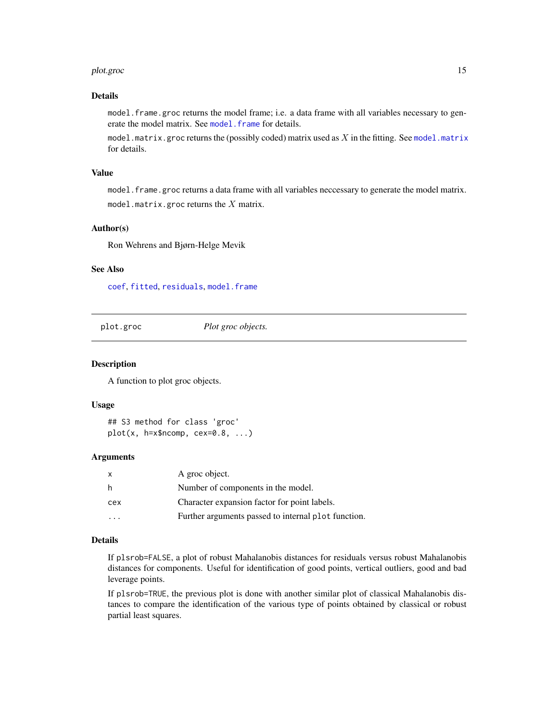#### <span id="page-14-0"></span>plot.groc that the contract of the contract of the contract of the contract of the contract of the contract of the contract of the contract of the contract of the contract of the contract of the contract of the contract of

# Details

model. frame.groc returns the model frame; i.e. a data frame with all variables necessary to generate the model matrix. See model. frame for details.

[model.matrix](#page-0-0).groc returns the (possibly coded) matrix used as  $X$  in the fitting. See model.matrix for details.

#### Value

model. frame.groc returns a data frame with all variables neccessary to generate the model matrix. model.matrix.groc returns the  $X$  matrix.

#### Author(s)

Ron Wehrens and Bjørn-Helge Mevik

#### See Also

[coef](#page-0-0), [fitted](#page-0-0), [residuals](#page-0-0), [model.frame](#page-0-0)

<span id="page-14-1"></span>plot.groc *Plot groc objects.*

#### Description

A function to plot groc objects.

#### Usage

## S3 method for class 'groc'  $plot(x, h=x$ncomp, cex=0.8, ...)$ 

#### **Arguments**

|     | A groc object.                                      |
|-----|-----------------------------------------------------|
| - h | Number of components in the model.                  |
| cex | Character expansion factor for point labels.        |
|     | Further arguments passed to internal plot function. |

# Details

If plsrob=FALSE, a plot of robust Mahalanobis distances for residuals versus robust Mahalanobis distances for components. Useful for identification of good points, vertical outliers, good and bad leverage points.

If plsrob=TRUE, the previous plot is done with another similar plot of classical Mahalanobis distances to compare the identification of the various type of points obtained by classical or robust partial least squares.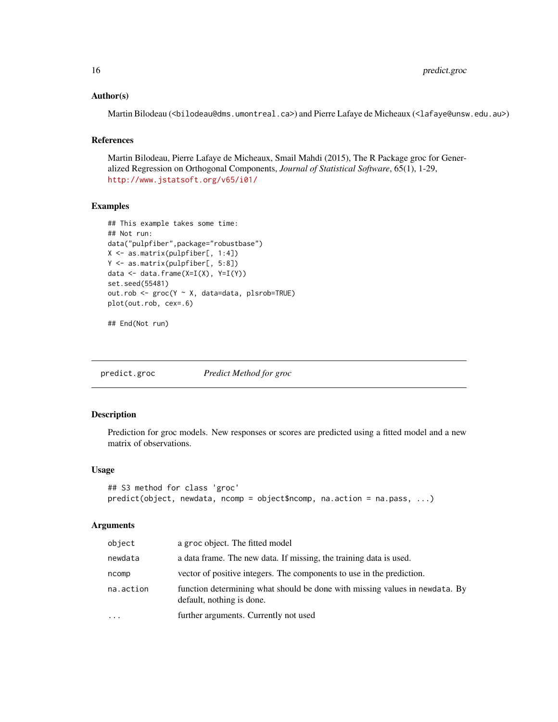<span id="page-15-0"></span>16 predict.groc

#### Author(s)

Martin Bilodeau (<bilodeau@dms.umontreal.ca>) and Pierre Lafaye de Micheaux (<lafaye@unsw.edu.au>)

# References

Martin Bilodeau, Pierre Lafaye de Micheaux, Smail Mahdi (2015), The R Package groc for Generalized Regression on Orthogonal Components, *Journal of Statistical Software*, 65(1), 1-29, <http://www.jstatsoft.org/v65/i01/>

# Examples

```
## This example takes some time:
## Not run:
data("pulpfiber",package="robustbase")
X <- as.matrix(pulpfiber[, 1:4])
Y <- as.matrix(pulpfiber[, 5:8])
data <- data.frame(X=I(X), Y=I(Y))
set.seed(55481)
out.rob <- groc(Y ~ X, data=data, plsrob=TRUE)
plot(out.rob, cex=.6)
```
## End(Not run)

predict.groc *Predict Method for groc*

# Description

Prediction for groc models. New responses or scores are predicted using a fitted model and a new matrix of observations.

#### Usage

```
## S3 method for class 'groc'
predict(object, newdata, ncomp = object$ncomp, na.action = na.pass, ...)
```
#### **Arguments**

| object    | a groc object. The fitted model                                                                          |
|-----------|----------------------------------------------------------------------------------------------------------|
| newdata   | a data frame. The new data. If missing, the training data is used.                                       |
| ncomp     | vector of positive integers. The components to use in the prediction.                                    |
| na.action | function determining what should be done with missing values in newdata. By<br>default, nothing is done. |
| .         | further arguments. Currently not used                                                                    |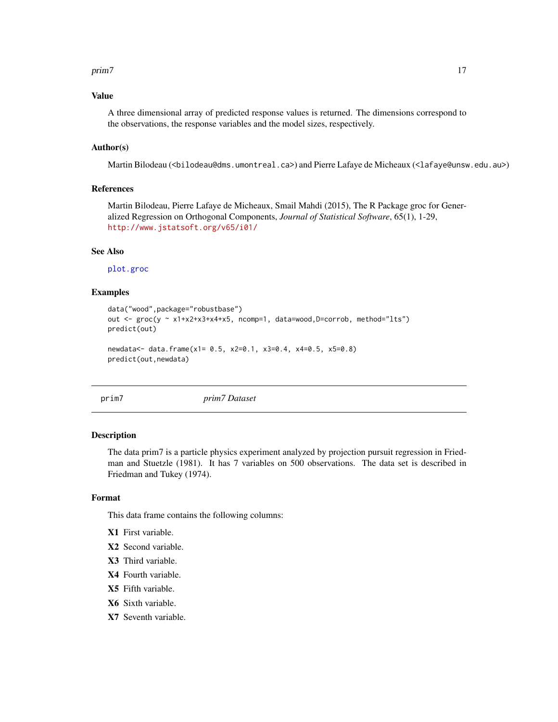#### <span id="page-16-0"></span>prim7 and the contract of the contract of the contract of the contract of the contract of the contract of the contract of the contract of the contract of the contract of the contract of the contract of the contract of the

# Value

A three dimensional array of predicted response values is returned. The dimensions correspond to the observations, the response variables and the model sizes, respectively.

#### Author(s)

Martin Bilodeau (<bilodeau@dms.umontreal.ca>) and Pierre Lafaye de Micheaux (<lafaye@unsw.edu.au>)

#### References

Martin Bilodeau, Pierre Lafaye de Micheaux, Smail Mahdi (2015), The R Package groc for Generalized Regression on Orthogonal Components, *Journal of Statistical Software*, 65(1), 1-29, <http://www.jstatsoft.org/v65/i01/>

# See Also

[plot.groc](#page-14-1)

#### Examples

```
data("wood",package="robustbase")
out <- groc(y ~ x1+x2+x3+x4+x5, ncomp=1, data=wood,D=corrob, method="lts")
predict(out)
newdata<- data.frame(x1= 0.5, x2=0.1, x3=0.4, x4=0.5, x5=0.8)
predict(out,newdata)
```
prim7 *prim7 Dataset*

#### Description

The data prim7 is a particle physics experiment analyzed by projection pursuit regression in Friedman and Stuetzle (1981). It has 7 variables on 500 observations. The data set is described in Friedman and Tukey (1974).

#### Format

This data frame contains the following columns:

- X1 First variable.
- X2 Second variable.
- X3 Third variable.
- X4 Fourth variable.
- X5 Fifth variable.
- X6 Sixth variable.
- X7 Seventh variable.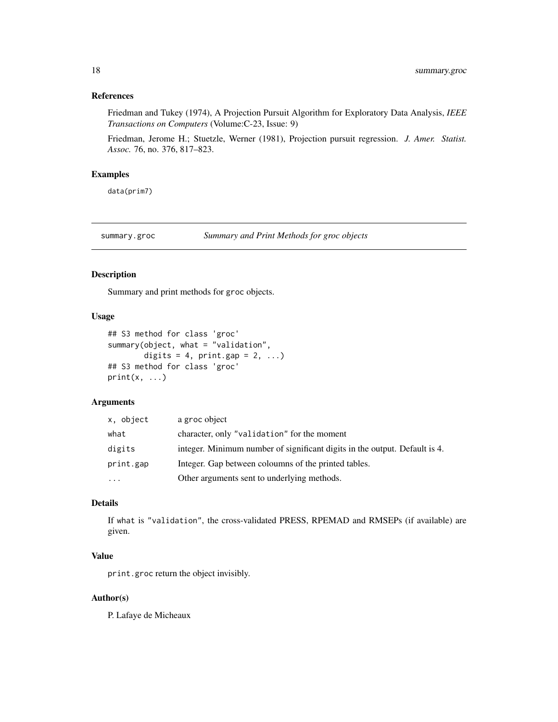# <span id="page-17-0"></span>References

Friedman and Tukey (1974), A Projection Pursuit Algorithm for Exploratory Data Analysis, *IEEE Transactions on Computers* (Volume:C-23, Issue: 9)

Friedman, Jerome H.; Stuetzle, Werner (1981), Projection pursuit regression. *J. Amer. Statist. Assoc.* 76, no. 376, 817–823.

#### Examples

data(prim7)

summary.groc *Summary and Print Methods for groc objects*

#### Description

Summary and print methods for groc objects.

# Usage

```
## S3 method for class 'groc'
summary(object, what = "validation",
        digits = 4, print.gap = 2, ...## S3 method for class 'groc'
print(x, \ldots)
```
# Arguments

| x, object | a groc object                                                              |
|-----------|----------------------------------------------------------------------------|
| what      | character, only "validation" for the moment                                |
| digits    | integer. Minimum number of significant digits in the output. Default is 4. |
| print.gap | Integer. Gap between coloumns of the printed tables.                       |
| $\cdots$  | Other arguments sent to underlying methods.                                |

# Details

If what is "validation", the cross-validated PRESS, RPEMAD and RMSEPs (if available) are given.

# Value

print.groc return the object invisibly.

#### Author(s)

P. Lafaye de Micheaux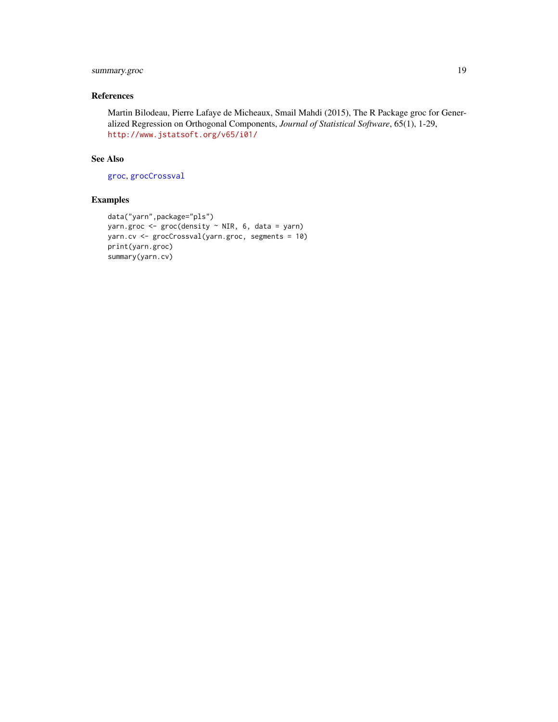# <span id="page-18-0"></span>summary.groc 19

# References

Martin Bilodeau, Pierre Lafaye de Micheaux, Smail Mahdi (2015), The R Package groc for Generalized Regression on Orthogonal Components, *Journal of Statistical Software*, 65(1), 1-29, <http://www.jstatsoft.org/v65/i01/>

#### See Also

[groc](#page-4-1), [grocCrossval](#page-12-1)

```
data("yarn",package="pls")
yarn.groc <- groc(density ~ NIR, 6, data = yarn)
yarn.cv <- grocCrossval(yarn.groc, segments = 10)
print(yarn.groc)
summary(yarn.cv)
```